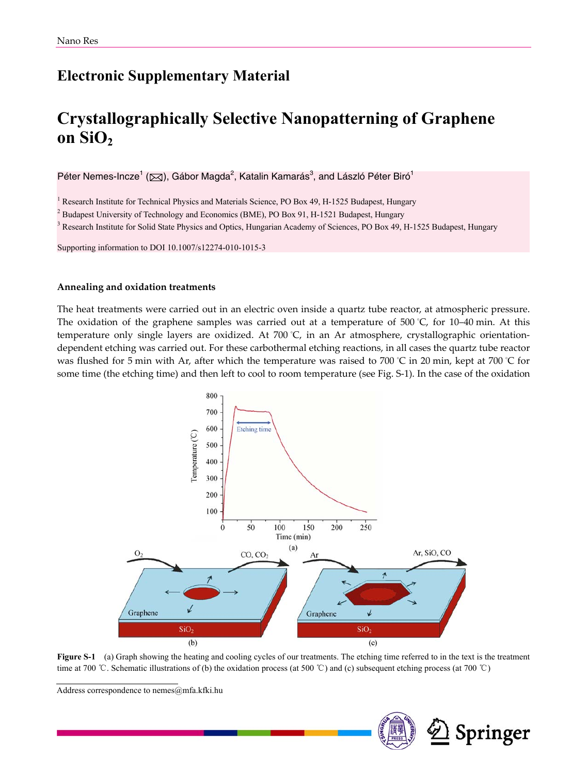## **Electronic Supplementary Material**

# **Crystallographically Selective Nanopatterning of Graphene**  on  $SiO<sub>2</sub>$

Péter Nemes-Incze<sup>1</sup> (⊠), Gábor Magda<sup>2</sup>, Katalin Kamarás<sup>3</sup>, and László Péter Biró<sup>1</sup>

<sup>1</sup> Research Institute for Technical Physics and Materials Science, PO Box 49, H-1525 Budapest, Hungary

<sup>2</sup> Budapest University of Technology and Economics (BME), PO Box 91, H-1521 Budapest, Hungary  $^3$  Becograph Institute for Solid State Physics and Ontice. Hungarian Asedemy of Seigness, PO Box 40, I

<sup>3</sup> Research Institute for Solid State Physics and Optics, Hungarian Academy of Sciences, PO Box 49, H-1525 Budapest, Hungary

Supporting information to DOI 10.1007/s12274-010-1015-3

#### **Annealing and oxidation treatments**

The heat treatments were carried out in an electric oven inside a quartz tube reactor, at atmospheric pressure. The oxidation of the graphene samples was carried out at a temperature of 500 ° C, for 10–40 min. At this temperature only single layers are oxidized. At 700 ° C, in an Ar atmosphere, crystallographic orientationdependent etching was carried out. For these carbothermal etching reactions, in all cases the quartz tube reactor was flushed for 5 min with Ar, after which the temperature was raised to 700 °C in 20 min, kept at 700 °C for some time (the etching time) and then left to cool to room temperature (see Fig. S-1). In the case of the oxidation



**Figure S-1** (a) Graph showing the heating and cooling cycles of our treatments. The etching time referred to in the text is the treatment time at 700 ℃. Schematic illustrations of (b) the oxidation process (at 500 ℃) and (c) subsequent etching process (at 700 ℃)

Address correspondence to nemes@mfa.kfki.hu

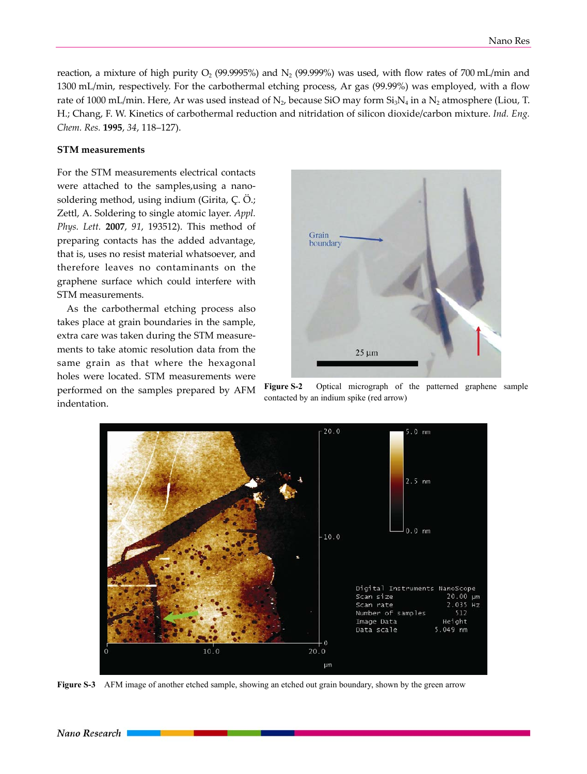reaction, a mixture of high purity  $O_2$  (99.9995%) and  $N_2$  (99.999%) was used, with flow rates of 700 mL/min and 1300 mL/min, respectively. For the carbothermal etching process, Ar gas (99.99%) was employed, with a flow rate of 1000 mL/min. Here, Ar was used instead of  $N_2$ , because SiO may form  $Si<sub>3</sub>N_4$  in a  $N_2$  atmosphere (Liou, T. H.; Chang, F. W. Kinetics of carbothermal reduction and nitridation of silicon dioxide/carbon mixture. *Ind. Eng. Chem. Res.* **1995**, *34*, 118–127).

#### **STM measurements**

For the STM measurements electrical contacts were attached to the samples,using a nanosoldering method, using indium (Girita, Ç. Ö.; Zettl, A. Soldering to single atomic layer. *Appl. Phys. Lett.* **2007**, *91*, 193512). This method of preparing contacts has the added advantage, that is, uses no resist material whatsoever, and therefore leaves no contaminants on the graphene surface which could interfere with STM measurements.

As the carbothermal etching process also takes place at grain boundaries in the sample, extra care was taken during the STM measurements to take atomic resolution data from the same grain as that where the hexagonal holes were located. STM measurements were performed on the samples prepared by AFM indentation.



**Figure S-2** Optical micrograph of the patterned graphene sample contacted by an indium spike (red arrow)



**Figure S-3** AFM image of another etched sample, showing an etched out grain boundary, shown by the green arrow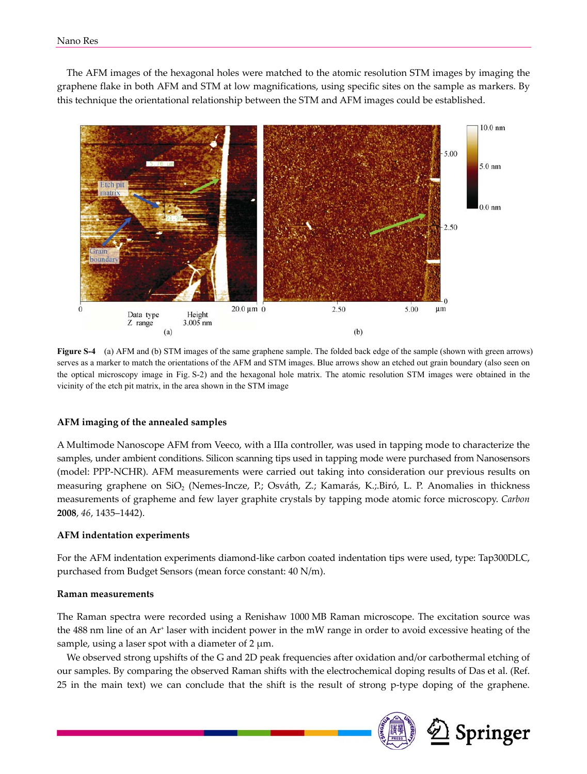The AFM images of the hexagonal holes were matched to the atomic resolution STM images by imaging the graphene flake in both AFM and STM at low magnifications, using specific sites on the sample as markers. By this technique the orientational relationship between the STM and AFM images could be established.



**Figure S-4** (a) AFM and (b) STM images of the same graphene sample. The folded back edge of the sample (shown with green arrows) serves as a marker to match the orientations of the AFM and STM images. Blue arrows show an etched out grain boundary (also seen on the optical microscopy image in Fig. S-2) and the hexagonal hole matrix. The atomic resolution STM images were obtained in the vicinity of the etch pit matrix, in the area shown in the STM image

### **AFM imaging of the annealed samples**

A Multimode Nanoscope AFM from Veeco, with a IIIa controller, was used in tapping mode to characterize the samples, under ambient conditions. Silicon scanning tips used in tapping mode were purchased from Nanosensors (model: PPP-NCHR). AFM measurements were carried out taking into consideration our previous results on measuring graphene on SiO<sub>2</sub> (Nemes-Incze, P.; Osváth, Z.; Kamarás, K.;.Biró, L. P. Anomalies in thickness measurements of grapheme and few layer graphite crystals by tapping mode atomic force microscopy. *Carbon* **2008**, *46*, 1435–1442).

#### **AFM indentation experiments**

For the AFM indentation experiments diamond-like carbon coated indentation tips were used, type: Tap300DLC, purchased from Budget Sensors (mean force constant: 40 N/m).

#### **Raman measurements**

The Raman spectra were recorded using a Renishaw 1000 MB Raman microscope. The excitation source was the 488 nm line of an Ar<sup>+</sup> laser with incident power in the mW range in order to avoid excessive heating of the sample, using a laser spot with a diameter of  $2 \mu m$ .

We observed strong upshifts of the G and 2D peak frequencies after oxidation and/or carbothermal etching of our samples. By comparing the observed Raman shifts with the electrochemical doping results of Das et al. (Ref. 25 in the main text) we can conclude that the shift is the result of strong p-type doping of the graphene.